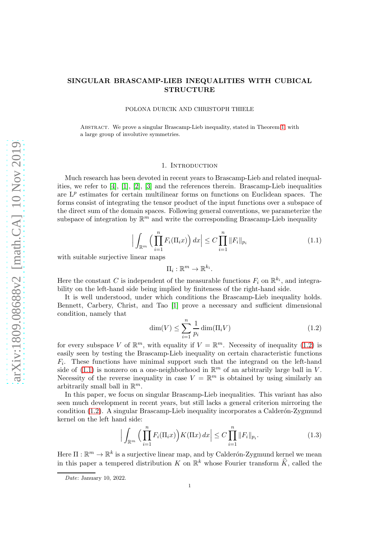# SINGULAR BRASCAMP-LIEB INEQUALITIES WITH CUBICAL STRUCTURE

POLONA DURCIK AND CHRISTOPH THIELE

Abstract. We prove a singular Brascamp-Lieb inequality, stated in Theorem [1,](#page-1-0) with a large group of involutive symmetries.

#### 1. INTRODUCTION

Much research has been devoted in recent years to Brascamp-Lieb and related inequalities, we refer to [\[4\]](#page-14-0), [\[1\]](#page-14-1), [\[2\]](#page-14-2), [\[3\]](#page-14-3) and the references therein. Brascamp-Lieb inequalities are  $L^p$  estimates for certain multilinear forms on functions on Euclidean spaces. The forms consist of integrating the tensor product of the input functions over a subspace of the direct sum of the domain spaces. Following general conventions, we parameterize the subspace of integration by  $\mathbb{R}^m$  and write the corresponding Brascamp-Lieb inequality

<span id="page-0-1"></span>
$$
\left| \int_{\mathbb{R}^m} \left( \prod_{i=1}^n F_i(\Pi_i x) \right) dx \right| \le C \prod_{i=1}^n \|F_i\|_{p_i}
$$
 (1.1)

with suitable surjective linear maps

$$
\Pi_i:\mathbb{R}^m\to\mathbb{R}^{k_i}.
$$

Here the constant C is independent of the measurable functions  $F_i$  on  $\mathbb{R}^{k_i}$ , and integrability on the left-hand side being implied by finiteness of the right-hand side.

It is well understood, under which conditions the Brascamp-Lieb inequality holds. Bennett, Carbery, Christ, and Tao [\[1\]](#page-14-1) prove a necessary and sufficient dimensional condition, namely that

<span id="page-0-0"></span>
$$
\dim(V) \le \sum_{i=1}^{n} \frac{1}{p_i} \dim(\Pi_i V) \tag{1.2}
$$

for every subspace V of  $\mathbb{R}^m$ , with equality if  $V = \mathbb{R}^m$ . Necessity of inequality [\(1.2\)](#page-0-0) is easily seen by testing the Brascamp-Lieb inequality on certain characteristic functions  $F_i$ . These functions have minimal support such that the integrand on the left-hand side of [\(1.1\)](#page-0-1) is nonzero on a one-neighborhood in  $\mathbb{R}^m$  of an arbitrarily large ball in V. Necessity of the reverse inequality in case  $V = \mathbb{R}^m$  is obtained by using similarly an arbitrarily small ball in  $\mathbb{R}^m$ .

In this paper, we focus on singular Brascamp-Lieb inequalities. This variant has also seen much development in recent years, but still lacks a general criterion mirroring the condition  $(1.2)$ . A singular Brascamp-Lieb inequality incorporates a Calder $\acute{o}n$ -Zygmund kernel on the left hand side:

<span id="page-0-2"></span>
$$
\Big|\int_{\mathbb{R}^m} \Big(\prod_{i=1}^n F_i(\Pi_i x)\Big) K(\Pi x) dx\Big| \le C \prod_{i=1}^n \|F_i\|_{p_i}.
$$
 (1.3)

Here  $\Pi : \mathbb{R}^m \to \mathbb{R}^k$  is a surjective linear map, and by Calderón-Zygmund kernel we mean in this paper a tempered distribution K on  $\mathbb{R}^k$  whose Fourier transform  $\widehat{K}$ , called the

Date: January 10, 2022.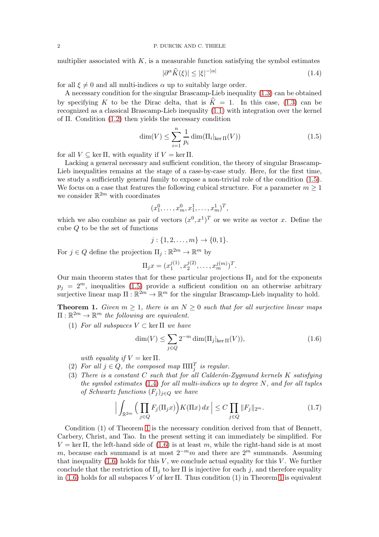multiplier associated with  $K$ , is a measurable function satisfying the symbol estimates

<span id="page-1-2"></span>
$$
|\partial^{\alpha}\widehat{K}(\xi)| \le |\xi|^{-|\alpha|} \tag{1.4}
$$

for all  $\xi \neq 0$  and all multi-indices  $\alpha$  up to suitably large order.

A necessary condition for the singular Brascamp-Lieb inequality [\(1.3\)](#page-0-2) can be obtained by specifying K to be the Dirac delta, that is  $\hat{K} = 1$ . In this case, [\(1.3\)](#page-0-2) can be recognized as a classical Brascamp-Lieb inequality [\(1.1\)](#page-0-1) with integration over the kernel of Π. Condition [\(1.2\)](#page-0-0) then yields the necessary condition

<span id="page-1-1"></span>
$$
\dim(V) \le \sum_{i=1}^{n} \frac{1}{p_i} \dim(\Pi_i|_{\ker \Pi}(V)) \tag{1.5}
$$

for all  $V \subseteq \ker \Pi$ , with equality if  $V = \ker \Pi$ .

Lacking a general necessary and sufficient condition, the theory of singular Brascamp-Lieb inequalities remains at the stage of a case-by-case study. Here, for the first time, we study a sufficiently general family to expose a non-trivial role of the condition [\(1.5\)](#page-1-1). We focus on a case that features the following cubical structure. For a parameter  $m \geq 1$ we consider  $\mathbb{R}^{2m}$  with coordinates

$$
(x_1^0, \ldots, x_m^0, x_1^1, \ldots, x_m^1)^T,
$$

which we also combine as pair of vectors  $(x^0, x^1)^T$  or we write as vector x. Define the cube Q to be the set of functions

$$
j: \{1, 2, \dots, m\} \to \{0, 1\}.
$$

For  $j \in Q$  define the projection  $\Pi_j : \mathbb{R}^{2m} \to \mathbb{R}^m$  by

$$
\Pi_j x = (x_1^{j(1)}, x_2^{j(2)}, \dots, x_m^{j(m)})^T.
$$

Our main theorem states that for these particular projections  $\Pi_i$  and for the exponents  $p_j = 2^m$ , inequalities [\(1.5\)](#page-1-1) provide a sufficient condition on an otherwise arbitrary surjective linear map  $\Pi : \mathbb{R}^{2m} \to \mathbb{R}^m$  for the singular Brascamp-Lieb inquality to hold.

<span id="page-1-0"></span>**Theorem 1.** Given  $m \geq 1$ , there is an  $N \geq 0$  such that for all surjective linear maps  $\Pi: \mathbb{R}^{2m} \to \mathbb{R}^m$  the following are equivalent.

(1) For all subspaces  $V \subset \text{ker } \Pi$  we have

<span id="page-1-3"></span>
$$
\dim(V) \le \sum_{j \in Q} 2^{-m} \dim(\Pi_j|_{\ker \Pi}(V)),\tag{1.6}
$$

with equality if  $V = \ker \Pi$ .

- (2) For all  $j \in Q$ , the composed map  $\Pi \Pi_j^T$  is regular.
- (3) There is a constant C such that for all Calderón-Zygmund kernels K satisfying the symbol estimates  $(1.4)$  for all multi-indices up to degree N, and for all tuples of Schwartz functions  $(F_i)_{i\in Q}$  we have

<span id="page-1-4"></span>
$$
\Big|\int_{\mathbb{R}^{2m}}\Big(\prod_{j\in Q}F_j(\Pi_jx)\Big)K(\Pi x)\,dx\Big|\leq C\prod_{j\in Q}\|F_j\|_{2^m}.\tag{1.7}
$$

Condition (1) of Theorem [1](#page-1-0) is the necessary condition derived from that of Bennett, Carbery, Christ, and Tao. In the present setting it can immediately be simplified. For  $V = \text{ker } \Pi$ , the left-hand side of [\(1.6\)](#page-1-3) is at least m, while the right-hand side is at most m, because each summand is at most  $2^{-m}m$  and there are  $2^m$  summands. Assuming that inequality  $(1.6)$  holds for this V, we conclude actual equality for this V. We further conclude that the restriction of  $\Pi_j$  to ker  $\Pi$  is injective for each j, and therefore equality in  $(1.6)$  holds for all subspaces V of ker  $\Pi$ . Thus condition  $(1)$  in Theorem [1](#page-1-0) is equivalent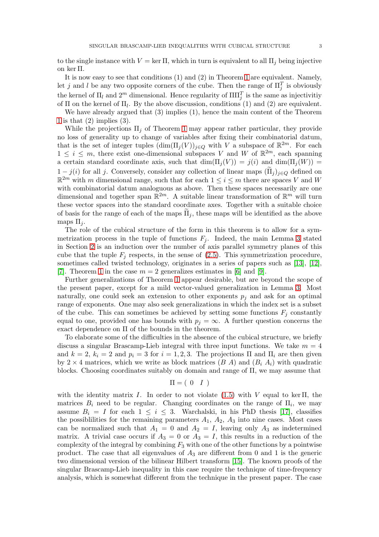to the single instance with  $V = \ker \Pi$ , which in turn is equivalent to all  $\Pi_i$  being injective on ker Π.

It is now easy to see that conditions (1) and (2) in Theorem [1](#page-1-0) are equivalent. Namely, let j and l be any two opposite corners of the cube. Then the range of  $\Pi_j^T$  is obviously the kernel of  $\Pi_l$  and  $2^m$  dimensional. Hence regularity of  $\Pi \Pi_j^T$  is the same as injectivitiy of  $\Pi$  on the kernel of  $\Pi_l$ . By the above discussion, conditions (1) and (2) are equivalent.

We have already argued that (3) implies (1), hence the main content of the Theorem [1](#page-1-0) is that  $(2)$  implies  $(3)$ .

While the projections  $\Pi_i$  of Theorem [1](#page-1-0) may appear rather particular, they provide no loss of generality up to change of variables after fixing their combinatorial datum, that is the set of integer tuples  $(\dim(\Pi_j(V))_{j\in Q}$  with V a subspace of  $\mathbb{R}^{2m}$ . For each  $1 \leq i \leq m$ , there exist one-dimensional subspaces V and W of  $\mathbb{R}^{2m}$ , each spanning a certain standard coordinate axis, such that  $\dim(\Pi_i(V)) = j(i)$  and  $\dim(\Pi_i(W)) =$  $1 - j(i)$  for all j. Conversely, consider any collection of linear maps  $(\tilde{\Pi}_j)_{j \in Q}$  defined on  $\mathbb{R}^{2m}$  with m dimensional range, such that for each  $1 \leq i \leq m$  there are spaces V and W with combinatorial datum analoguous as above. Then these spaces necessarily are one dimensional and together span  $\mathbb{R}^{2m}$ . A suitable linear transformation of  $\mathbb{R}^m$  will turn these vector spaces into the standard coordinate axes. Together with a suitable choice of basis for the range of each of the maps  $\Pi_i$ , these maps will be identified as the above maps  $\Pi_i$ .

The role of the cubical structure of the form in this theorem is to allow for a symmetrization process in the tuple of functions  $F_j$ . Indeed, the main Lemma [3](#page-5-0) stated in Section [2](#page-3-0) is an induction over the number of axis parallel symmetry planes of this cube that the tuple  $F_i$  respects, in the sense of [\(2.5\)](#page-5-1). This symmetrization procedure, sometimes called twisted technology, originates in a series of papers such as [\[13\]](#page-15-0), [\[12\]](#page-15-1), [\[7\]](#page-14-4). Theorem [1](#page-1-0) in the case  $m = 2$  generalizes estimates in [\[6\]](#page-14-5) and [\[9\]](#page-14-6).

Further generalizations of Theorem [1](#page-1-0) appear desirable, but are beyond the scope of the present paper, except for a mild vector-valued generalization in Lemma [3.](#page-5-0) Most naturally, one could seek an extension to other exponents  $p_i$  and ask for an optimal range of exponents. One may also seek generalizations in which the index set is a subset of the cube. This can sometimes be achieved by setting some functions  $F_i$  constantly equal to one, provided one has bounds with  $p_i = \infty$ . A further question concerns the exact dependence on Π of the bounds in the theorem.

To elaborate some of the difficulties in the absence of the cubical structure, we briefly discuss a singular Brascamp-Lieb integral with three input functions. We take  $m = 4$ and  $k = 2$ ,  $k_i = 2$  and  $p_i = 3$  for  $i = 1, 2, 3$ . The projections  $\Pi$  and  $\Pi_i$  are then given by  $2 \times 4$  matrices, which we write as block matrices  $(B \ A)$  and  $(B_i \ A_i)$  with quadratic blocks. Choosing coordinates suitably on domain and range of  $\Pi$ , we may assume that

$$
\Pi = \left( \begin{array}{cc} 0 & I \end{array} \right)
$$

with the identity matrix I. In order to not violate  $(1.5)$  with V equal to ker II, the matrices  $B_i$  need to be regular. Changing coordinates on the range of  $\Pi_i$ , we may assume  $B_i = I$  for each  $1 \leq i \leq 3$ . Warchalski, in his PhD thesis [\[17\]](#page-15-2), classifies the possibilities for the remaining parameters  $A_1$ ,  $A_2$ ,  $A_3$  into nine cases. Most cases can be normalized such that  $A_1 = 0$  and  $A_2 = I$ , leaving only  $A_3$  as indetermined matrix. A trivial case occurs if  $A_3 = 0$  or  $A_3 = I$ , this results in a reduction of the complexity of the integral by combining  $F_3$  with one of the other functions by a pointwise product. The case that all eigenvalues of  $A_3$  are different from 0 and 1 is the generic two dimensional version of the bilinear Hilbert transform [\[15\]](#page-15-3). The known proofs of the singular Brascamp-Lieb inequality in this case require the technique of time-frequency analysis, which is somewhat different from the technique in the present paper. The case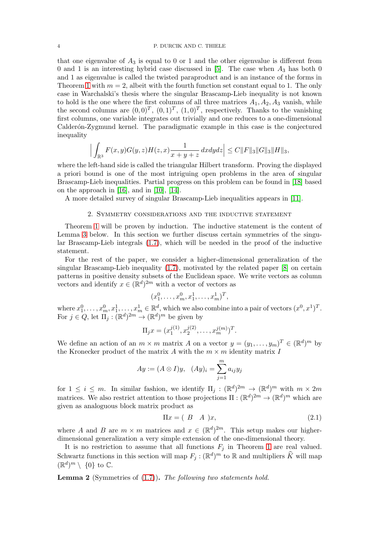### 4 P. DURCIK AND C. THIELE

that one eigenvalue of  $A_3$  is equal to 0 or 1 and the other eigenvalue is different from 0 and 1 is an interesting hybrid case discussed in [\[5\]](#page-14-7). The case when  $A_3$  has both 0 and 1 as eigenvalue is called the twisted paraproduct and is an instance of the forms in Theorem [1](#page-1-0) with  $m = 2$ , albeit with the fourth function set constant equal to 1. The only case in Warchalski's thesis where the singular Brascamp-Lieb inequality is not known to hold is the one where the first columns of all three matrices  $A_1, A_2, A_3$  vanish, while the second columns are  $(0,0)^T$ ,  $(0,1)^T$ ,  $(1,0)^T$ , respectively. Thanks to the vanishing first columns, one variable integrates out trivially and one reduces to a one-dimensional Calderón-Zygmund kernel. The paradigmatic example in this case is the conjectured inequality

$$
\Big|\int_{\mathbb{R}^3} F(x,y)G(y,z)H(z,x)\frac{1}{x+y+z} dx dy dz\Big|\leq C \|F\|_3 \|G\|_3 \|H\|_3,
$$

where the left-hand side is called the triangular Hilbert transform. Proving the displayed a priori bound is one of the most intriguing open problems in the area of singular Brascamp-Lieb inequalities. Partial progress on this problem can be found in [\[18\]](#page-15-4) based on the approach in  $[16]$ , and in  $[10]$ ,  $[14]$ .

<span id="page-3-0"></span>A more detailed survey of singular Brascamp-Lieb inequalities appears in [\[11\]](#page-14-9).

## 2. Symmetry considerations and the inductive statement

Theorem [1](#page-1-0) will be proven by induction. The inductive statement is the content of Lemma [3](#page-5-0) below. In this section we further discuss certain symmetries of the singular Brascamp-Lieb integrals [\(1.7\)](#page-1-4), which will be needed in the proof of the inductive statement.

For the rest of the paper, we consider a higher-dimensional generalization of the singular Brascamp-Lieb inequality [\(1.7\)](#page-1-4), motivated by the related paper [\[8\]](#page-14-10) on certain patterns in positive density subsets of the Euclidean space. We write vectors as column vectors and identify  $x \in (\mathbb{R}^d)^{2m}$  with a vector of vectors as

$$
(x_1^0, \ldots, x_m^0, x_1^1, \ldots, x_m^1)^T,
$$

where  $x_1^0, \ldots, x_m^0, x_1^1, \ldots, x_m^1 \in \mathbb{R}^d$ , which we also combine into a pair of vectors  $(x^0, x^1)^T$ . For  $j \in Q$ , let  $\Pi_j : (\mathbb{R}^d)^{2m} \to (\mathbb{R}^d)^m$  be given by

$$
\Pi_j x = (x_1^{j(1)}, x_2^{j(2)}, \dots, x_m^{j(m)})^T.
$$

We define an action of an  $m \times m$  matrix A on a vector  $y = (y_1, \ldots, y_m)^T \in (\mathbb{R}^d)^m$  by the Kronecker product of the matrix A with the  $m \times m$  identity matrix I

$$
Ay := (A \otimes I)y, \quad (Ay)_i = \sum_{j=1}^m a_{ij}y_j
$$

for  $1 \leq i \leq m$ . In similar fashion, we identify  $\Pi_j : (\mathbb{R}^d)^{2m} \to (\mathbb{R}^d)^m$  with  $m \times 2m$ matrices. We also restrict attention to those projections  $\Pi : (\mathbb{R}^d)^{2m} \to (\mathbb{R}^d)^m$  which are given as analoguous block matrix product as

<span id="page-3-1"></span>
$$
\Pi x = (B \quad A \quad)x,\tag{2.1}
$$

where A and B are  $m \times m$  matrices and  $x \in (\mathbb{R}^d)^{2m}$ . This setup makes our higherdimensional generalization a very simple extension of the one-dimensional theory.

It is no restriction to assume that all functions  $F_j$  in Theorem [1](#page-1-0) are real valued. Schwartz functions in this section will map  $F_j : (\mathbb{R}^d)^m$  to  $\mathbb R$  and multipliers  $\widehat{K}$  will map  $(\mathbb{R}^d)^m \setminus \{0\}$  to  $\mathbb{C}$ .

<span id="page-3-2"></span>**Lemma 2** (Symmetries of  $(1.7)$ ). The following two statements hold.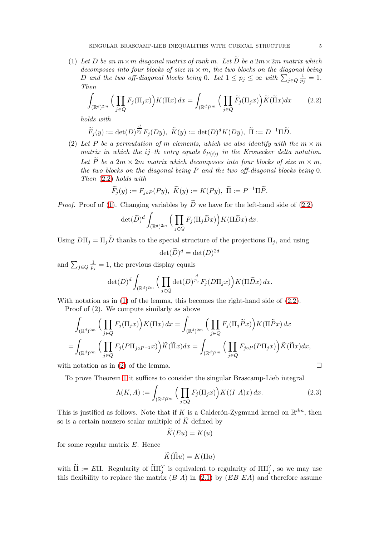<span id="page-4-1"></span>(1) Let D be an  $m \times m$  diagonal matrix of rank m. Let  $\widetilde{D}$  be a  $2m \times 2m$  matrix which decomposes into four blocks of size  $m \times m$ , the two blocks on the diagonal being D and the two off-diagonal blocks being 0. Let  $1 \leq p_j \leq \infty$  with  $\sum_{j \in Q} \frac{1}{p_j} = 1$ . Then

$$
\int_{(\mathbb{R}^d)^{2m}} \Big( \prod_{j \in Q} F_j(\Pi_j x) \Big) K(\Pi x) \, dx = \int_{(\mathbb{R}^d)^{2m}} \Big( \prod_{j \in Q} \widetilde{F}_j(\Pi_j x) \Big) \widetilde{K}(\widetilde{\Pi} x) \, dx \tag{2.2}
$$

holds with

$$
\widetilde{F}_j(y) := \det(D)^{\frac{d}{p_j}} F_j(Dy), \ \widetilde{K}(y) := \det(D)^d K(Dy), \ \widetilde{\Pi} := D^{-1} \Pi \widetilde{D}.
$$

<span id="page-4-2"></span>(2) Let P be a permutation of m elements, which we also identify with the  $m \times m$ matrix in which the ij-th entry equals  $\delta_{P(i)j}$  in the Kronecker delta notation. Let P be a  $2m \times 2m$  matrix which decomposes into four blocks of size  $m \times m$ , the two blocks on the diagonal being P and the two off-diagonal blocks being 0. Then [\(2.2\)](#page-4-0) holds with

$$
\widetilde{F}_j(y):=F_{j\circ P}(Py),\ \widetilde{K}(y):=K(Py),\ \widetilde{\Pi}:=P^{-1}\Pi\widetilde{P}.
$$

*Proof.* Proof of [\(1\)](#page-4-1). Changing variables by  $\widetilde{D}$  we have for the left-hand side of [\(2.2\)](#page-4-0)

$$
\det(\widetilde{D})^d \int_{(\mathbb{R}^d)^{2m}} \Big(\prod_{j\in Q} F_j(\Pi_j \widetilde{D} x)\Big) K(\Pi \widetilde{D} x) \, dx.
$$

Using  $D\Pi_i = \Pi_i \widetilde{D}$  thanks to the special structure of the projections  $\Pi_i$ , and using

<span id="page-4-0"></span>
$$
\det(\widetilde{D})^d = \det(D)^{2d}
$$

and  $\sum_{j\in Q} \frac{1}{p_j} = 1$ , the previous display equals

$$
\det(D)^d \int_{(\mathbb{R}^d)^{2m}} \Big( \prod_{j \in Q} \det(D)^{\frac{d}{p_j}} F_j(D\Pi_j x) \Big) K(\Pi \widetilde{D} x) \, dx.
$$

With notation as in  $(1)$  of the lemma, this becomes the right-hand side of  $(2.2)$ .

Proof of (2). We compute similarly as above

$$
\int_{(\mathbb{R}^d)^{2m}} \Big( \prod_{j \in Q} F_j(\Pi_j x) \Big) K(\Pi x) \, dx = \int_{(\mathbb{R}^d)^{2m}} \Big( \prod_{j \in Q} F_j(\Pi_j \widetilde{P} x) \Big) K(\Pi \widetilde{P} x) \, dx
$$
\n
$$
= \int_{(\mathbb{R}^d)^{2m}} \Big( \prod_{j \in Q} F_j(P\Pi_{j \circ P^{-1}} x) \Big) \widetilde{K}(\widetilde{\Pi} x) dx = \int_{(\mathbb{R}^d)^{2m}} \Big( \prod_{j \in Q} F_{j \circ P}(P\Pi_j x) \Big) \widetilde{K}(\widetilde{\Pi} x) dx,
$$

with notation as in [\(2\)](#page-4-2) of the lemma.  $\square$ 

To prove Theorem [1](#page-1-0) it suffices to consider the singular Brascamp-Lieb integral

<span id="page-4-3"></span>
$$
\Lambda(K, A) := \int_{(\mathbb{R}^d)^{2m}} \Big( \prod_{j \in Q} F_j(\Pi_j x) \Big) K((I \ A) x) \, dx. \tag{2.3}
$$

This is justified as follows. Note that if K is a Calderón-Zygmund kernel on  $\mathbb{R}^{dm}$ , then so is a certain nonzero scalar multiple of  $\widetilde{K}$  defined by

$$
K(Eu) = K(u)
$$

for some regular matrix E. Hence

$$
\widetilde{K}(\widetilde{\Pi}u) = K(\Pi u)
$$

with  $\tilde{\Pi} := E\Pi$ . Regularity of  $\tilde{\Pi}\Pi_j^T$  is equivalent to regularity of  $\Pi\Pi_j^T$ , so we may use this flexibility to replace the matrix  $(B \ A)$  in  $(2.1)$  by  $(EB \ EA)$  and therefore assume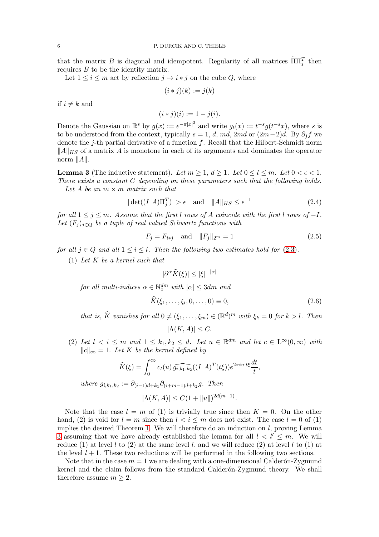that the matrix B is diagonal and idempotent. Regularity of all matrices  $\tilde{\Pi} \Pi_j^T$  then requires B to be the identity matrix.

Let  $1 \leq i \leq m$  act by reflection  $j \mapsto i * j$  on the cube Q, where

$$
(i * j)(k) := j(k)
$$

if  $i \neq k$  and

$$
(i * j)(i) := 1 - j(i).
$$

Denote the Gaussian on  $\mathbb{R}^s$  by  $g(x) := e^{-\pi |x|^2}$  and write  $g_t(x) := t^{-s} g(t^{-s}x)$ , where s is to be understood from the context, typically  $s = 1, d, md, 2md$  or  $(2m-2)d$ . By  $\partial_j f$  we denote the j-th partial derivative of a function  $f$ . Recall that the Hilbert-Schmidt norm  $\|A\|_{HS}$  of a matrix A is monotone in each of its arguments and dominates the operator norm  $||A||$ .

<span id="page-5-0"></span>**Lemma 3** (The inductive statement). Let  $m \geq 1$ ,  $d \geq 1$ . Let  $0 \leq l \leq m$ . Let  $0 \leq \epsilon \leq 1$ . There exists a constant C depending on these parameters such that the following holds. Let A be an  $m \times m$  matrix such that

<span id="page-5-3"></span>
$$
|\det((IA)\Pi_j^T)| > \epsilon \quad \text{and} \quad ||A||_{HS} \le \epsilon^{-1} \tag{2.4}
$$

for all  $1 \leq j \leq m$ . Assume that the first l rows of A coincide with the first l rows of  $-I$ . Let  $(F_i)_{i\in Q}$  be a tuple of real valued Schwartz functions with

$$
F_j = F_{i \ast j} \quad \text{and} \quad ||F_j||_{2^m} = 1 \tag{2.5}
$$

for all  $j \in Q$  and all  $1 \leq i \leq l$ . Then the following two estimates hold for [\(2.3\)](#page-4-3).

(1) Let  $K$  be a kernel such that

<span id="page-5-1"></span>
$$
|\partial^{\alpha}\widehat{K}(\xi)| \leq |\xi|^{-|\alpha|}
$$

for all multi-indices  $\alpha \in \mathbb{N}_0^{dm}$  with  $|\alpha| \leq 3dm$  and

$$
K(\xi_1, ..., \xi_l, 0, ..., 0) \equiv 0,
$$
\n(2.6)

that is,  $\widehat{K}$  vanishes for all  $0 \neq (\xi_1, \ldots, \xi_m) \in (\mathbb{R}^d)^m$  with  $\xi_k = 0$  for  $k > l$ . Then

<span id="page-5-2"></span>
$$
|\Lambda(K, A)| \leq C.
$$

(2) Let  $l < i \leq m$  and  $1 \leq k_1, k_2 \leq d$ . Let  $u \in \mathbb{R}^{dm}$  and let  $c \in L^{\infty}(0, \infty)$  with  $||c||_{\infty} = 1$ . Let K be the kernel defined by

$$
\widehat{K}(\xi) = \int_0^\infty c_t(u) \widehat{g_{i,k_1,k_2}}((I \ A)^T(t\xi)) e^{2\pi i u \cdot t\xi} \frac{dt}{t},
$$

where  $g_{i,k_1,k_2} := \partial_{(i-1)d+k_1} \partial_{(i+m-1)d+k_2} g$ . Then

$$
|\Lambda(K, A)| \le C(1 + ||u||)^{2d(m-1)}.
$$

Note that the case  $l = m$  of (1) is trivially true since then  $K = 0$ . On the other hand, (2) is void for  $l = m$  since then  $l < i \leq m$  does not exist. The case  $l = 0$  of (1) implies the desired Theorem [1.](#page-1-0) We will therefore do an induction on  $l$ , proving Lemma [3](#page-5-0) assuming that we have already established the lemma for all  $l < l' \leq m$ . We will reduce (1) at level l to (2) at the same level l, and we will reduce (2) at level l to (1) at the level  $l + 1$ . These two reductions will be performed in the following two sections.

Note that in the case  $m = 1$  we are dealing with a one-dimensional Calderon-Zygmund kernel and the claim follows from the standard Calderón-Zygmund theory. We shall therefore assume  $m \geq 2$ .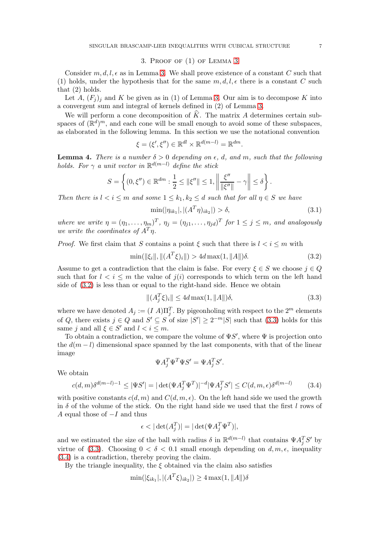# 3. Proof of (1) of Lemma [3](#page-5-0)

Consider  $m, d, l, \epsilon$  as in Lemma [3.](#page-5-0) We shall prove existence of a constant C such that (1) holds, under the hypothesis that for the same  $m, d, l, \epsilon$  there is a constant C such that (2) holds.

Let A,  $(F_i)_i$  and K be given as in (1) of Lemma [3.](#page-5-0) Our aim is to decompose K into a convergent sum and integral of kernels defined in (2) of Lemma [3.](#page-5-0)

We will perform a cone decomposition of  $\tilde{K}$ . The matrix A determines certain subspaces of  $(\mathbb{R}^d)^m$ , and each cone will be small enough to avoid some of these subspaces, as elaborated in the following lemma. In this section we use the notational convention

$$
\xi = (\xi', \xi'') \in \mathbb{R}^{dl} \times \mathbb{R}^{d(m-l)} = \mathbb{R}^{dm}.
$$

<span id="page-6-4"></span>**Lemma 4.** There is a number  $\delta > 0$  depending on  $\epsilon$ , d, and m, such that the following holds. For  $\gamma$  a unit vector in  $\mathbb{R}^{d(m-l)}$  define the stick

$$
S=\left\{(0,\xi'')\in\mathbb{R}^{dm}:\frac{1}{2}\leq\|\xi''\|\leq 1,\left\|\frac{\xi''}{\|\xi''\|}-\gamma\right\|\leq\delta\right\}.
$$

Then there is  $l < i \leq m$  and some  $1 \leq k_1, k_2 \leq d$  such that for all  $\eta \in S$  we have

<span id="page-6-3"></span><span id="page-6-0"></span>
$$
\min(|\eta_{ik_1}|, |(A^T \eta)_{ik_2}|) > \delta,
$$
\n(3.1)

where we write  $\eta = (\eta_1, \ldots, \eta_m)^T$ ,  $\eta_j = (\eta_{j1}, \ldots, \eta_{jd})^T$  for  $1 \leq j \leq m$ , and analogously we write the coordinates of  $A^T \eta$ .

*Proof.* We first claim that S contains a point  $\xi$  such that there is  $l < i \leq m$  with

$$
\min(\|\xi_i\|, \|(A^T\xi)_i\|) > 4d \max(1, \|A\|) \delta. \tag{3.2}
$$

Assume to get a contradiction that the claim is false. For every  $\xi \in S$  we choose  $j \in Q$ such that for  $l < i \leq m$  the value of  $j(i)$  corresponds to which term on the left hand side of [\(3.2\)](#page-6-0) is less than or equal to the right-hand side. Hence we obtain

<span id="page-6-1"></span>
$$
||(A_j^T \xi)_i|| \le 4d \max(1, ||A||) \delta,
$$
\n(3.3)

where we have denoted  $A_j := (I A)\Pi_j^T$ . By pigeonholing with respect to the  $2^m$  elements of Q, there exists  $j \in Q$  and  $S' \subseteq S$  of size  $|S'| \ge 2^{-m}|S|$  such that  $(3.3)$  holds for this same j and all  $\xi \in S'$  and  $l < i \leq m$ .

To obtain a contradiction, we compare the volume of  $\Psi S'$ , where  $\Psi$  is projection onto the  $d(m - l)$  dimensional space spanned by the last components, with that of the linear image

$$
\Psi A_j^T \Psi^T \Psi S' = \Psi A_j^T S'.
$$

We obtain

<span id="page-6-2"></span>
$$
c(d,m)\delta^{d(m-l)-1} \le |\Psi S'| = |\det(\Psi A_j^T \Psi^T)|^{-d} |\Psi A_j^T S'| \le C(d,m,\epsilon)\delta^{d(m-l)} \tag{3.4}
$$

with positive constants  $c(d, m)$  and  $C(d, m, \epsilon)$ . On the left hand side we used the growth in  $\delta$  of the volume of the stick. On the right hand side we used that the first l rows of A equal those of  $-I$  and thus

$$
\epsilon < |\det(A_j^T)| = |\det(\Psi A_j^T \Psi^T)|,
$$

and we estimated the size of the ball with radius  $\delta$  in  $\mathbb{R}^{d(m-l)}$  that contains  $\Psi A_j^T S'$  by virtue of [\(3.3\)](#page-6-1). Choosing  $0 < \delta < 0.1$  small enough depending on  $d, m, \epsilon$ , inequality [\(3.4\)](#page-6-2) is a contradiction, thereby proving the claim.

By the triangle inequality, the  $\xi$  obtained via the claim also satisfies

$$
\min(|\xi_{ik_1}|, |(A^T\xi)_{ik_2}|) \ge 4 \max(1, \|A\|) \delta
$$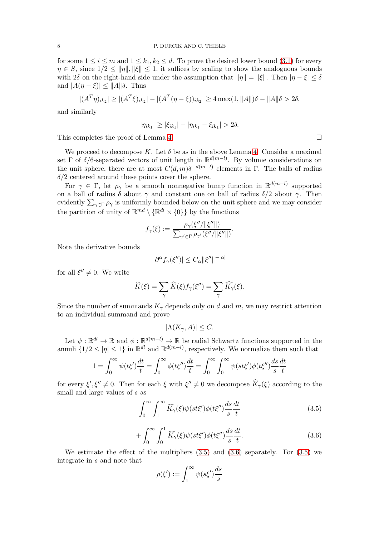for some  $1 \leq i \leq m$  and  $1 \leq k_1, k_2 \leq d$ . To prove the desired lower bound [\(3.1\)](#page-6-3) for every  $\eta \in S$ , since  $1/2 \le ||\eta||, ||\xi|| \le 1$ , it suffices by scaling to show the analoguous bounds with  $2\delta$  on the right-hand side under the assumption that  $||\eta|| = ||\xi||$ . Then  $|\eta - \xi| \leq \delta$ and  $|A(\eta - \xi)| \leq ||A|| \delta$ . Thus

$$
|(A^T \eta)_{ik_2}| \ge |(A^T \xi)_{ik_2}| - |(A^T (\eta - \xi))_{ik_2}| \ge 4 \max(1, \|A\|) \delta - \|A\| \delta > 2\delta,
$$

and similarly

$$
|\eta_{ik_1}| \geq |\xi_{ik_1}| - |\eta_{ik_1} - \xi_{ik_1}| > 2\delta.
$$

This completes the proof of Lemma [4.](#page-6-4)

We proceed to decompose K. Let  $\delta$  be as in the above Lemma [4.](#page-6-4) Consider a maximal set  $\Gamma$  of  $\delta/6$ -separated vectors of unit length in  $\mathbb{R}^{d(m-l)}$ . By volume considerations on the unit sphere, there are at most  $C(d, m)\delta^{-d(m-l)}$  elements in Γ. The balls of radius  $\delta/2$  centered around these points cover the sphere.

For  $\gamma \in \Gamma$ , let  $\rho_{\gamma}$  be a smooth nonnegative bump function in  $\mathbb{R}^{d(m-l)}$  supported on a ball of radius  $\delta$  about  $\gamma$  and constant one on ball of radius  $\delta/2$  about  $\gamma$ . Then evidently  $\sum_{\gamma \in \Gamma} \rho_{\gamma}$  is uniformly bounded below on the unit sphere and we may consider the partition of unity of  $\mathbb{R}^{md} \setminus {\mathbb{R}^{dl} \times \{0\}}$  by the functions

$$
f_{\gamma}(\xi) := \frac{\rho_{\gamma}(\xi'') \|\xi''\|)}{\sum_{\gamma' \in \Gamma} \rho_{\gamma'}(\xi''/\|\xi''\|)}.
$$

Note the derivative bounds

$$
|\partial^{\alpha} f_{\gamma}(\xi'')| \leq C_{\alpha} \|\xi''\|^{-|\alpha|}
$$

for all  $\xi'' \neq 0$ . We write

$$
\widehat{K}(\xi) = \sum_{\gamma} \widehat{K}(\xi) f_{\gamma}(\xi'') = \sum_{\gamma} \widehat{K}_{\gamma}(\xi).
$$

Since the number of summands  $K_{\gamma}$  depends only on d and m, we may restrict attention to an individual summand and prove

 $|\Lambda(K_{\gamma}, A)| \leq C.$ 

Let  $\psi: \mathbb{R}^{d} \to \mathbb{R}$  and  $\phi: \mathbb{R}^{d(m-l)} \to \mathbb{R}$  be radial Schwartz functions supported in the annuli  $\{1/2 \leq |\eta| \leq 1\}$  in  $\mathbb{R}^{dl}$  and  $\mathbb{R}^{d(m-l)}$ , respectively. We normalize them such that

$$
1 = \int_0^\infty \psi(t\xi') \frac{dt}{t} = \int_0^\infty \phi(t\xi'') \frac{dt}{t} = \int_0^\infty \int_0^\infty \psi(st\xi') \phi(t\xi'') \frac{ds}{s} \frac{dt}{t}
$$

for every  $\xi', \xi'' \neq 0$ . Then for each  $\xi$  with  $\xi'' \neq 0$  we decompose  $K_{\gamma}(\xi)$  according to the small and large values of s as

$$
\int_0^\infty \int_1^\infty \widehat{K_\gamma}(\xi) \psi(st\xi') \phi(t\xi'') \frac{ds}{s} \frac{dt}{t}
$$
 (3.5)

$$
+\int_0^\infty \int_0^1 \widehat{K_\gamma}(\xi)\psi(st\xi')\phi(t\xi'')\frac{ds}{s}\frac{dt}{t}.\tag{3.6}
$$

We estimate the effect of the multipliers  $(3.5)$  and  $(3.6)$  separately. For  $(3.5)$  we integrate in s and note that

<span id="page-7-1"></span><span id="page-7-0"></span>
$$
\rho(\xi'):=\int_1^\infty \psi(s\xi')\frac{ds}{s}
$$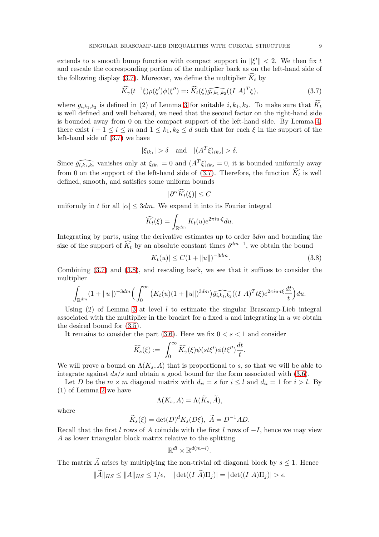extends to a smooth bump function with compact support in  $\|\xi'\| < 2$ . We then fix t and rescale the corresponding portion of the multiplier back as on the left-hand side of the following display [\(3.7\)](#page-8-0). Moreover, we define the multiplier  $\widehat{K}_t$  by

$$
\widehat{K_{\gamma}}(t^{-1}\xi)\rho(\xi')\phi(\xi'') =: \widehat{K_t}(\xi)\widehat{g_{i,k_1,k_2}}((I \ A)^T\xi),\tag{3.7}
$$

where  $g_{i,k_1,k_2}$  is defined in (2) of Lemma [3](#page-5-0) for suitable  $i, k_1, k_2$ . To make sure that  $K_t$ is well defined and well behaved, we need that the second factor on the right-hand side is bounded away from 0 on the compact support of the left-hand side. By Lemma [4,](#page-6-4) there exist  $l + 1 \leq i \leq m$  and  $1 \leq k_1, k_2 \leq d$  such that for each  $\xi$  in the support of the left-hand side of [\(3.7\)](#page-8-0) we have

$$
|\xi_{ik_1}| > \delta
$$
 and  $|(A^T \xi)_{ik_2}| > \delta$ .

Since  $\widehat{g_{i,k_1,k_2}}$  vanishes only at  $\xi_{ik_1} = 0$  and  $(A^T\xi)_{ik_2} = 0$ , it is bounded uniformly away from 0 on the support of the left-hand side of  $(3.7)$ . Therefore, the function  $K_t$  is well defined, smooth, and satisfies some uniform bounds

<span id="page-8-1"></span><span id="page-8-0"></span>
$$
|\partial^{\alpha}\widehat{K}_t(\xi)| \leq C
$$

uniformly in t for all  $|\alpha| \leq 3dm$ . We expand it into its Fourier integral

$$
\widehat{K_t}(\xi) = \int_{\mathbb{R}^{dm}} K_t(u)e^{2\pi i u \cdot \xi} du.
$$

Integrating by parts, using the derivative estimates up to order  $3dm$  and bounding the size of the support of  $\widetilde{K_t}$  by an absolute constant times  $\delta^{dm-1}$ , we obtain the bound

$$
|K_t(u)| \le C(1 + \|u\|)^{-3dm}.\tag{3.8}
$$

Combining [\(3.7\)](#page-8-0) and [\(3.8\)](#page-8-1), and rescaling back, we see that it suffices to consider the multiplier

$$
\int_{\mathbb{R}^{dm}} (1+||u||)^{-3dm} \Big(\int_0^{\infty} (K_t(u)(1+||u||)^{3dm}) \widehat{g_{i,k_1,k_2}}((I\ A)^T t\xi)e^{2\pi i u \cdot t\xi} \frac{dt}{t}\Big) du.
$$

Using  $(2)$  of Lemma [3](#page-5-0) at level l to estimate the singular Brascamp-Lieb integral associated with the multiplier in the bracket for a fixed  $u$  and integrating in  $u$  we obtain the desired bound for [\(3.5\)](#page-7-0).

It remains to consider the part  $(3.6)$ . Here we fix  $0 < s < 1$  and consider

$$
\widehat{K_s}(\xi) := \int_0^\infty \widehat{K_\gamma}(\xi) \psi(st\xi') \phi(t\xi'') \frac{dt}{t}.
$$

We will prove a bound on  $\Lambda(K_s, A)$  that is proportional to s, so that we will be able to integrate against  $ds/s$  and obtain a good bound for the form associated with  $(3.6)$ .

Let D be the  $m \times m$  diagonal matrix with  $d_{ii} = s$  for  $i \leq l$  and  $d_{ii} = 1$  for  $i > l$ . By (1) of Lemma [2](#page-3-2) we have

$$
\Lambda(K_s, A) = \Lambda(\widetilde{K}_s, \widetilde{A}),
$$

where

$$
\widetilde{K}_s(\xi) = \det(D)^d K_s(D\xi), \ \widetilde{A} = D^{-1}AD.
$$

Recall that the first l rows of A coincide with the first l rows of  $-I$ , hence we may view A as lower triangular block matrix relative to the splitting

$$
\mathbb{R}^{dl} \times \mathbb{R}^{d(m-l)}.
$$

The matrix  $\widetilde{A}$  arises by multiplying the non-trivial off diagonal block by  $s \leq 1$ . Hence

$$
||A||_{HS} \le ||A||_{HS} \le 1/\epsilon, \quad |\det((I \ \overline{A})\Pi_j)| = |\det((I \ \overline{A})\Pi_j)| > \epsilon.
$$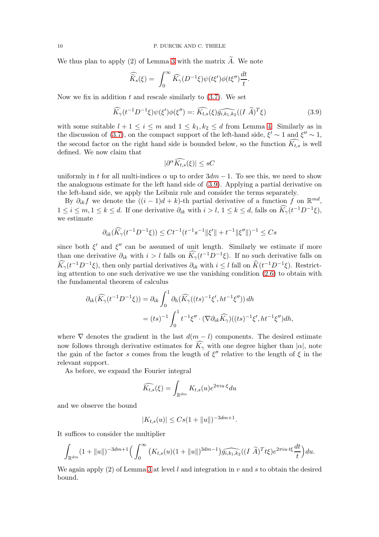We thus plan to apply  $(2)$  of Lemma [3](#page-5-0) with the matrix  $\tilde{A}$ . We note

$$
\widehat{\widetilde{K}}_s(\xi) = \int_0^\infty \widehat{K}_\gamma(D^{-1}\xi)\psi(t\xi')\phi(t\xi'')\frac{dt}{t}.
$$

Now we fix in addition  $t$  and rescale similarly to  $(3.7)$ . We set

<span id="page-9-0"></span>
$$
\widehat{K}_{\gamma}(t^{-1}D^{-1}\xi)\psi(\xi')\phi(\xi'') =: \widehat{K_{t,s}}(\xi)\widehat{g_{i,k_1,k_2}}((I\ \widetilde{A})^T\xi)
$$
\n(3.9)

with some suitable  $l + 1 \leq i \leq m$  and  $1 \leq k_1, k_2 \leq d$  from Lemma [4.](#page-6-4) Similarly as in the discussion of [\(3.7\)](#page-8-0), on the compact support of the left-hand side,  $\xi' \sim 1$  and  $\xi'' \sim 1$ , the second factor on the right hand side is bounded below, so the function  $K_{ts}$  is well defined. We now claim that

$$
|\partial^{\alpha}\widehat{K_{t,s}}(\xi)|\le sC
$$

uniformly in t for all multi-indices  $\alpha$  up to order  $3dm - 1$ . To see this, we need to show the analoguous estimate for the left hand side of [\(3.9\)](#page-9-0). Applying a partial derivative on the left-hand side, we apply the Leibniz rule and consider the terms separately.

By  $\partial_{ik} f$  we denote the  $((i-1)d+k)$ -th partial derivative of a function f on  $\mathbb{R}^{md}$ ,  $1 \leq i \leq m, 1 \leq k \leq d$ . If one derivative  $\partial_{ik}$  with  $i > l, 1 \leq k \leq d$ , falls on  $\widehat{K}_{\gamma}(t^{-1}D^{-1}\xi)$ , we estimate

$$
\partial_{ik}(\widehat{K}_{\gamma}(t^{-1}D^{-1}\xi)) \le Ct^{-1}(t^{-1}s^{-1}||\xi'|| + t^{-1}||\xi''||)^{-1} \le Cs
$$

since both  $\xi'$  and  $\xi''$  can be assumed of unit length. Similarly we estimate if more than one derivative  $\partial_{ik}$  with  $i > l$  falls on  $\widehat{K}_{\gamma}(t^{-1}D^{-1}\xi)$ . If no such derivative falls on  $\widehat{K}_{\gamma}(t^{-1}D^{-1}\xi)$ , then only partial derivatives  $\partial_{ik}$  with  $i \leq l$  fall on  $\widehat{K}(t^{-1}D^{-1}\xi)$ . Restricting attention to one such derivative we use the vanishing condition [\(2.6\)](#page-5-2) to obtain with the fundamental theorem of calculus

$$
\partial_{ik}(\widehat{K}_{\gamma}(t^{-1}D^{-1}\xi)) = \partial_{ik} \int_0^1 \partial_h(\widehat{K}_{\gamma}((ts)^{-1}\xi', ht^{-1}\xi'')) dh
$$
  

$$
= (ts)^{-1} \int_0^1 t^{-1}\xi'' \cdot (\nabla \partial_{ik}\widehat{K}_{\gamma})((ts)^{-1}\xi', ht^{-1}\xi'') dh,
$$

where  $\nabla$  denotes the gradient in the last  $d(m - l)$  components. The desired estimate now follows through derivative estimates for  $\widehat{K}_{\gamma}$  with one degree higher than  $|\alpha|$ , note the gain of the factor s comes from the length of  $\xi''$  relative to the length of  $\xi$  in the relevant support.

As before, we expand the Fourier integral

$$
\widehat{K_{t,s}}(\xi) = \int_{\mathbb{R}^{dm}} K_{t,s}(u) e^{2\pi i u \cdot \xi} du
$$

and we observe the bound

$$
|K_{t,s}(u)| \le Cs(1 + ||u||)^{-3dm+1}.
$$

It suffices to consider the multiplier

$$
\int_{\mathbb{R}^{dm}} (1+||u||)^{-3dm+1} \Big( \int_0^{\infty} (K_{t,s}(u)(1+||u||)^{3dm-1}) \widehat{g_{i,k_1,k_2}}((I\ \widetilde{A})^T t \xi) e^{2\pi i u \cdot t \xi} \frac{dt}{t} \Big) du.
$$

We again apply (2) of Lemma [3](#page-5-0) at level l and integration in v and s to obtain the desired bound.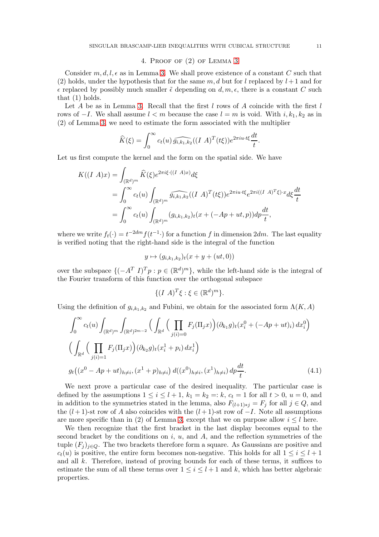## 4. Proof of (2) of Lemma [3](#page-5-0)

Consider  $m, d, l, \epsilon$  as in Lemma [3.](#page-5-0) We shall prove existence of a constant C such that (2) holds, under the hypothesis that for the same  $m, d$  but for l replaced by  $l+1$  and for  $\epsilon$  replaced by possibly much smaller  $\tilde{\epsilon}$  depending on  $d, m, \epsilon$ , there is a constant C such that (1) holds.

Let A be as in Lemma [3.](#page-5-0) Recall that the first  $l$  rows of A coincide with the first  $l$ rows of  $-I$ . We shall assume  $l < m$  because the case  $l = m$  is void. With  $i, k_1, k_2$  as in (2) of Lemma [3,](#page-5-0) we need to estimate the form associated with the multiplier

$$
\widehat{K}(\xi) = \int_0^\infty c_t(u) \widehat{g_{i,k_1,k_2}}((I \ A)^T(t\xi)) e^{2\pi i u \cdot t\xi} \frac{dt}{t}
$$

.

Let us first compute the kernel and the form on the spatial side. We have

$$
K((I \ A)x) = \int_{(\mathbb{R}^d)^m} \widehat{K}(\xi) e^{2\pi i \xi \cdot ((I \ A)x)} d\xi
$$
  
= 
$$
\int_0^\infty c_t(u) \int_{(\mathbb{R}^d)^m} \widehat{g_{i,k_1,k_2}}((I \ A)^T(t\xi)) e^{2\pi i u \cdot t\xi} e^{2\pi i ((I \ A)^T\xi) \cdot x} d\xi \frac{dt}{t}
$$
  
= 
$$
\int_0^\infty c_t(u) \int_{(\mathbb{R}^d)^m} (g_{i,k_1,k_2})_t(x + (-Ap + ut, p)) dp \frac{dt}{t},
$$

where we write  $f_t(\cdot) = t^{-2dm} f(t^{-1} \cdot)$  for a function f in dimension  $2dm$ . The last equality is verified noting that the right-hand side is the integral of the function

$$
y \mapsto (g_{i,k_1,k_2})_t(x + y + (ut, 0))
$$

over the subspace  $\{(-A^T I)^T p : p \in (\mathbb{R}^d)^m\}$ , while the left-hand side is the integral of the Fourier transform of this function over the orthogonal subspace

<span id="page-10-0"></span>
$$
\{(I \ A)^T \xi : \xi \in (\mathbb{R}^d)^m\}.
$$

Using the definition of  $g_{i,k_1,k_2}$  and Fubini, we obtain for the associated form  $\Lambda(K,\Lambda)$ 

$$
\int_{0}^{\infty} c_{t}(u) \int_{(\mathbb{R}^{d})^{m}} \int_{(\mathbb{R}^{d})^{2m-2}} \left( \int_{\mathbb{R}^{d}} \left( \prod_{j(i)=0} F_{j}(\Pi_{j} x) \right) (\partial_{k_{1}} g)_{t}(x_{i}^{0} + (-Ap + ut)_{i}) dx_{i}^{0} \right) \left( \int_{\mathbb{R}^{d}} \left( \prod_{j(i)=1} F_{j}(\Pi_{j} x) \right) (\partial_{k_{2}} g)_{t}(x_{i}^{1} + p_{i}) dx_{i}^{1} \right) \right)
$$
  

$$
g_{t} \left( (x^{0} - Ap + ut)_{h \neq i}, (x^{1} + p)_{h \neq i} \right) d((x^{0})_{h \neq i}, (x^{1})_{h \neq i}) dp \frac{dt}{t}.
$$
 (4.1)

We next prove a particular case of the desired inequality. The particular case is defined by the assumptions  $1 \leq i \leq l+1$ ,  $k_1 = k_2 = k$ ,  $c_t = 1$  for all  $t > 0$ ,  $u = 0$ , and in addition to the symmetries stated in the lemma, also  $F_{(l+1)*j} = F_j$  for all  $j \in Q$ , and the  $(l+1)$ -st row of A also coincides with the  $(l+1)$ -st row of  $-I$ . Note all assumptions are more specific than in (2) of Lemma [3,](#page-5-0) except that we on purpose allow  $i \leq l$  here.

We then recognize that the first bracket in the last display becomes equal to the second bracket by the conditions on  $i, u$ , and  $A$ , and the reflection symmetries of the tuple  $(F_i)_{i\in Q}$ . The two brackets therefore form a square. As Gaussians are positive and  $c_t(u)$  is positive, the entire form becomes non-negative. This holds for all  $1 \leq i \leq l+1$ and all k. Therefore, instead of proving bounds for each of these terms, it suffices to estimate the sum of all these terms over  $1 \leq i \leq l+1$  and k, which has better algebraic properties.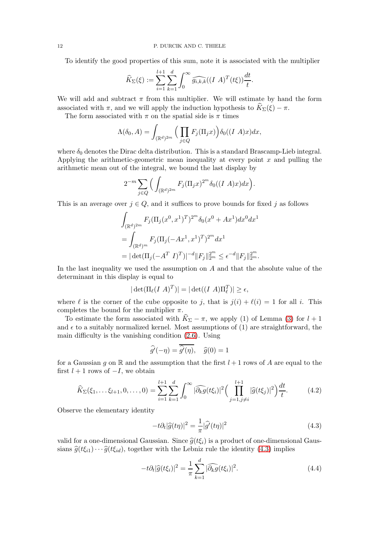To identify the good properties of this sum, note it is associated with the multiplier

$$
\widehat{K}_{\Sigma}(\xi) := \sum_{i=1}^{l+1} \sum_{k=1}^{d} \int_0^{\infty} \widehat{g_{i,k,k}}((I \ A)^T(t\xi)) \frac{dt}{t}.
$$

We will add and subtract  $\pi$  from this multiplier. We will estimate by hand the form associated with  $\pi$ , and we will apply the induction hypothesis to  $\widehat{K}_{\Sigma}(\xi) - \pi$ .

The form associated with  $\pi$  on the spatial side is  $\pi$  times

$$
\Lambda(\delta_0, A) = \int_{(\mathbb{R}^d)^{2m}} \Big( \prod_{j \in Q} F_j(\Pi_j x) \Big) \delta_0((I \ A) x) dx,
$$

where  $\delta_0$  denotes the Dirac delta distribution. This is a standard Brascamp-Lieb integral. Applying the arithmetic-geometric mean inequality at every point  $x$  and pulling the arithmetic mean out of the integral, we bound the last display by

$$
2^{-m}\sum_{j\in Q}\Big(\int_{(\mathbb{R}^d)^{2m}}F_j(\Pi_jx)^{2^m}\delta_0((I\ A)x)dx\Big).
$$

This is an average over  $j \in Q$ , and it suffices to prove bounds for fixed j as follows

$$
\int_{(\mathbb{R}^d)^{2m}} F_j(\Pi_j(x^0, x^1)^T)^{2m} \delta_0(x^0 + Ax^1) dx^0 dx^1
$$
  
= 
$$
\int_{(\mathbb{R}^d)^m} F_j(\Pi_j(-Ax^1, x^1)^T)^{2m} dx^1
$$
  
= 
$$
|\det(\Pi_j(-A^T I)^T)|^{-d} ||F_j||_{2m}^{2m} \le \epsilon^{-d} ||F_j||_{2m}^{2m}.
$$

In the last inequality we used the assumption on  $A$  and that the absolute value of the determinant in this display is equal to

$$
|\det(\Pi_{\ell}(I \ A)^T)| = |\det((I \ A)\Pi_{\ell}^T)| \ge \epsilon,
$$

where  $\ell$  is the corner of the cube opposite to j, that is  $j(i) + \ell(i) = 1$  for all i. This completes the bound for the multiplier  $\pi$ .

To estimate the form associated with  $\widehat{K}_{\Sigma} - \pi$ , we apply (1) of Lemma [\(3\)](#page-5-0) for  $l + 1$ and  $\epsilon$  to a suitably normalized kernel. Most assumptions of (1) are straightforward, the main difficulty is the vanishing condition [\(2.6\)](#page-5-2). Using

$$
\widehat{g'}(-\eta) = \overline{\widehat{g'}(\eta)}, \quad \widehat{g}(0) = 1
$$

for a Gaussian g on R and the assumption that the first  $l + 1$  rows of A are equal to the first  $l + 1$  rows of  $-I$ , we obtain

$$
\widehat{K}_{\Sigma}(\xi_1,\ldots\xi_{l+1},0,\ldots,0) = \sum_{i=1}^{l+1} \sum_{k=1}^d \int_0^\infty |\widehat{\partial_k g}(t\xi_i)|^2 \Big(\prod_{j=1,j\neq i}^{l+1} |\widehat{g}(t\xi_j)|^2\Big) \frac{dt}{t}.
$$
 (4.2)

Observe the elementary identity

<span id="page-11-2"></span><span id="page-11-1"></span><span id="page-11-0"></span>
$$
-t\partial_t |\widehat{g}(t\eta)|^2 = \frac{1}{\pi} |\widehat{g'}(t\eta)|^2
$$
\n(4.3)

valid for a one-dimensional Gaussian. Since  $\hat{g}(t\xi_i)$  is a product of one-dimensional Gaussians  $\hat{g}(t\xi_{i1})\cdots\hat{g}(t\xi_{id})$ , together with the Lebniz rule the identity [\(4.3\)](#page-11-0) implies

$$
-t\partial_t|\widehat{g}(t\xi_i)|^2 = \frac{1}{\pi} \sum_{k=1}^d |\widehat{\partial_k g}(t\xi_i)|^2.
$$
 (4.4)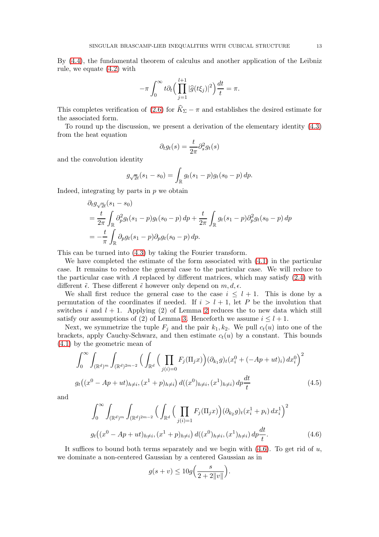By [\(4.4\)](#page-11-1), the fundamental theorem of calculus and another application of the Leibniz rule, we equate [\(4.2\)](#page-11-2) with

$$
-\pi \int_0^\infty t \partial_t \Big(\prod_{j=1}^{l+1} |\widehat{g}(t\xi_j)|^2\Big) \frac{dt}{t} = \pi.
$$

This completes verification of [\(2.6\)](#page-5-2) for  $\widehat{K}_{\Sigma} - \pi$  and establishes the desired estimate for the associated form.

To round up the discussion, we present a derivation of the elementary identity [\(4.3\)](#page-11-0) from the heat equation

$$
\partial_t g_t(s) = \frac{t}{2\pi} \partial_s^2 g_t(s)
$$

and the convolution identity

$$
g_{\sqrt{2}t}(s_1 - s_0) = \int_{\mathbb{R}} g_t(s_1 - p) g_t(s_0 - p) dp.
$$

Indeed, integrating by parts in  $p$  we obtain

$$
\partial_t g_{\sqrt{2}t}(s_1 - s_0) \n= \frac{t}{2\pi} \int_{\mathbb{R}} \partial_p^2 g_t(s_1 - p) g_t(s_0 - p) dp + \frac{t}{2\pi} \int_{\mathbb{R}} g_t(s_1 - p) \partial_p^2 g_t(s_0 - p) dp \n= -\frac{t}{\pi} \int_{\mathbb{R}} \partial_p g_t(s_1 - p) \partial_p g_t(s_0 - p) dp.
$$

This can be turned into [\(4.3\)](#page-11-0) by taking the Fourier transform.

We have completed the estimate of the form associated with [\(4.1\)](#page-10-0) in the particular case. It remains to reduce the general case to the particular case. We will reduce to the particular case with A replaced by different matrices, which may satisfy  $(2.4)$  with different  $\tilde{\epsilon}$ . These different  $\tilde{\epsilon}$  however only depend on  $m, d, \epsilon$ .

We shall first reduce the general case to the case  $i \leq l + 1$ . This is done by a permutation of the coordinates if needed. If  $i > l + 1$ , let P be the involution that switches i and  $l + 1$ . Applying (2) of Lemma [2](#page-3-2) reduces the to new data which still satisfy our assumptions of (2) of Lemma [3.](#page-5-0) Henceforth we assume  $i \leq l + 1$ .

Next, we symmetrize the tuple  $F_j$  and the pair  $k_1, k_2$ . We pull  $c_t(u)$  into one of the brackets, apply Cauchy-Schwarz, and then estimate  $c_t(u)$  by a constant. This bounds [\(4.1\)](#page-10-0) by the geometric mean of

$$
\int_0^{\infty} \int_{(\mathbb{R}^d)^m} \int_{(\mathbb{R}^d)^{2m-2}} \left( \int_{\mathbb{R}^d} \left( \prod_{j(i)=0} F_j(\Pi_j x) \right) (\partial_{k_1} g)_t (x_i^0 + (-Ap + ut)_i) dx_i^0 \right)^2
$$
  

$$
g_t \left( (x^0 - Ap + ut)_{h \neq i}, (x^1 + p)_{h \neq i} \right) d((x^0)_{h \neq i}, (x^1)_{h \neq i}) dp \frac{dt}{t}
$$
(4.5)

and

$$
\int_0^{\infty} \int_{(\mathbb{R}^d)^m} \int_{(\mathbb{R}^d)^{2m-2}} \left( \int_{\mathbb{R}^d} \left( \prod_{j(i)=1} F_j(\Pi_j x) \right) (\partial_{k_2} g)_t (x_i^1 + p_i) \, dx_i^1 \right)^2
$$
  

$$
g_t \left( (x^0 - Ap + ut)_{h \neq i}, (x^1 + p)_{h \neq i} \right) d((x^0)_{h \neq i}, (x^1)_{h \neq i}) \, dp \frac{dt}{t}.
$$
 (4.6)

It suffices to bound both terms separately and we begin with  $(4.6)$ . To get rid of u, we dominate a non-centered Gaussian by a centered Gaussian as in

<span id="page-12-1"></span><span id="page-12-0"></span>
$$
g(s+v) \le 10g\Big(\frac{s}{2+2\|v\|}\Big).
$$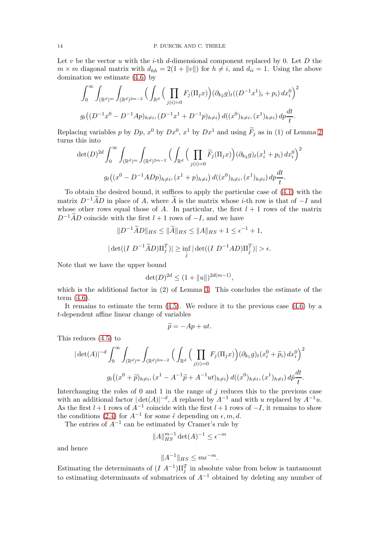Let v be the vector u with the i-th d-dimensional component replaced by 0. Let  $D$  the  $m \times m$  diagonal matrix with  $d_{hh} = 2(1 + ||v||)$  for  $h \neq i$ , and  $d_{ii} = 1$ . Using the above domination we estimate [\(4.6\)](#page-12-0) by

$$
\int_0^{\infty} \int_{(\mathbb{R}^d)^m} \int_{(\mathbb{R}^d)^{2m-2}} \Big( \int_{\mathbb{R}^d} \Big( \prod_{j(i)=0} F_j(\Pi_j x) \Big) (\partial_{k_2} g)_t ((D^{-1}x^1)_i + p_i) dx_i^0 \Big)^2
$$
  

$$
g_t \Big( (D^{-1}x^0 - D^{-1}Ap)_{h \neq i}, (D^{-1}x^1 + D^{-1}p)_{h \neq i} \Big) d((x^0)_{h \neq i}, (x^1)_{h \neq i}) dp \frac{dt}{t}.
$$

Replacing variables p by  $D_p$ ,  $x^0$  by  $Dx^0$ ,  $x^1$  by  $Dx^1$  and using  $\ddot{F}_j$  as in (1) of Lemma [2](#page-3-2) turns this into

$$
\det(D)^{2d} \int_0^{\infty} \int_{(\mathbb{R}^d)^m} \int_{(\mathbb{R}^d)^{2m-2}} \Big( \int_{\mathbb{R}^d} \Big( \prod_{j(i)=0} \widetilde{F}_j(\Pi_j x) \Big) (\partial_{k_2} g)_t(x_i^1 + p_i) dx_i^0 \Big)^2
$$
  

$$
g_t((x^0 - D^{-1}ADp)_{h \neq i}, (x^1 + p)_{h \neq i}) d((x^0)_{h \neq i}, (x^1)_{h \neq i}) dp \frac{dt}{t}.
$$

To obtain the desired bound, it suffices to apply the particular case of [\(4.1\)](#page-10-0) with the matrix  $D^{-1}\widetilde{A}D$  in place of A, where  $\widetilde{A}$  is the matrix whose i-th row is that of  $-I$  and whose other rows equal those of A. In particular, the first  $l + 1$  rows of the matrix  $D^{-1}\widetilde{A}D$  coincide with the first  $l + 1$  rows of  $-I$ , and we have

$$
||D^{-1}\widetilde{A}D||_{HS} \le ||\widetilde{A}||_{HS} \le ||A||_{HS} + 1 \le \epsilon^{-1} + 1,
$$
  

$$
|\det((I D^{-1}\widetilde{A}D)\Pi_j^T)| \ge \inf_{\widetilde{j}} |\det((I D^{-1}AD)\Pi_{\widetilde{j}}^T)| > \epsilon.
$$

Note that we have the upper bound

$$
\det(D)^{2d} \le (1 + \|u\|)^{2d(m-1)},
$$

which is the additional factor in (2) of Lemma [3.](#page-5-0) This concludes the estimate of the term [\(4.6\)](#page-12-0).

It remains to estimate the term  $(4.5)$ . We reduce it to the previous case  $(4.6)$  by a t-dependent affine linear change of variables

$$
\widetilde{p} = -Ap + ut.
$$

This reduces [\(4.5\)](#page-12-1) to

$$
|\det(A)|^{-d} \int_0^{\infty} \int_{(\mathbb{R}^d)^m} \int_{(\mathbb{R}^d)^{2m-2}} \Big( \int_{\mathbb{R}^d} \Big( \prod_{j(i)=0} F_j(\Pi_j x) \Big) (\partial_{k_1} g)_t (x_i^0 + \widetilde{p}_i) dx_i^0 \Big)^2
$$
  

$$
g_t \Big( (x^0 + \widetilde{p})_{h \neq i}, (x^1 - A^{-1}\widetilde{p} + A^{-1}ut)_{h \neq i} \Big) d((x^0)_{h \neq i}, (x^1)_{h \neq i}) d\widetilde{p} \frac{dt}{t}.
$$

Interchanging the roles of  $\theta$  and  $\theta$  in the range of  $j$  reduces this to the previous case with an additional factor  $|\det(A)|^{-d}$ , A replaced by  $A^{-1}$  and with u replaced by  $A^{-1}u$ . As the first  $l + 1$  rows of  $A^{-1}$  coincide with the first  $l + 1$  rows of  $-I$ , it remains to show the conditions [\(2.4\)](#page-5-3) for  $A^{-1}$  for some  $\tilde{\epsilon}$  depending on  $\epsilon, m, d$ .

The entries of  $A^{-1}$  can be estimated by Cramer's rule by

$$
||A||_{HS}^{m-1} \det(A)^{-1} \le \epsilon^{-m}
$$

and hence

$$
||A^{-1}||_{HS} \le m\epsilon^{-m}.
$$

Estimating the determinants of  $(I A^{-1})\Pi_j^T$  in absolute value from below is tantamount to estimating determinants of submatrices of  $A^{-1}$  obtained by deleting any number of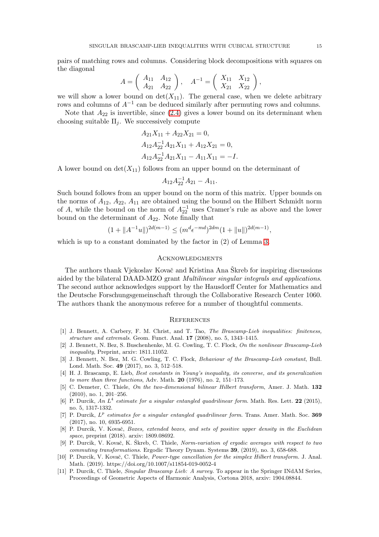pairs of matching rows and columns. Considering block decompositions with squares on the diagonal

$$
A = \left(\begin{array}{cc} A_{11} & A_{12} \\ A_{21} & A_{22} \end{array}\right), \quad A^{-1} = \left(\begin{array}{cc} X_{11} & X_{12} \\ X_{21} & X_{22} \end{array}\right),
$$

we will show a lower bound on  $\det(X_{11})$ . The general case, when we delete arbitrary rows and columns of  $A^{-1}$  can be deduced similarly after permuting rows and columns.

Note that  $A_{22}$  is invertible, since  $(2.4)$  gives a lower bound on its determinant when choosing suitable  $\Pi_i$ . We successively compute

$$
A_{21}X_{11} + A_{22}X_{21} = 0,
$$
  
\n
$$
A_{12}A_{22}^{-1}A_{21}X_{11} + A_{12}X_{21} = 0,
$$
  
\n
$$
A_{12}A_{22}^{-1}A_{21}X_{11} - A_{11}X_{11} = -I.
$$

A lower bound on  $\det(X_{11})$  follows from an upper bound on the determinant of

$$
A_{12}A_{22}^{-1}A_{21}-A_{11}.
$$

Such bound follows from an upper bound on the norm of this matrix. Upper bounds on the norms of  $A_{12}$ ,  $A_{22}$ ,  $A_{11}$  are obtained using the bound on the Hilbert Schmidt norm of A, while the bound on the norm of  $A_{22}^{-1}$  uses Cramer's rule as above and the lower bound on the determinant of  $A_{22}$ . Note finally that

$$
(1 + ||A^{-1}u||)^{2d(m-1)} \le (m^d \epsilon^{-md})^{2dm} (1 + ||u||)^{2d(m-1)},
$$

which is up to a constant dominated by the factor in (2) of Lemma [3.](#page-5-0)

#### **ACKNOWLEDGMENTS**

The authors thank Vjekoslav Kovač and Kristina Ana Škreb for inspiring discussions aided by the bilateral DAAD-MZO grant Multilinear singular integrals and applications. The second author acknowledges support by the Hausdorff Center for Mathematics and the Deutsche Forschungsgemeinschaft through the Collaborative Research Center 1060. The authors thank the anonymous referee for a number of thoughtful comments.

#### **REFERENCES**

- <span id="page-14-1"></span>[1] J. Bennett, A. Carbery, F. M. Christ, and T. Tao, The Brascamp-Lieb inequalities: finiteness, structure and extremals. Geom. Funct. Anal. 17 (2008), no. 5, 1343–1415.
- <span id="page-14-2"></span>[2] J. Bennett, N. Bez, S. Buschenhenke, M. G. Cowling, T. C. Flock, On the nonlinear Brascamp-Lieb inequality, Preprint, arxiv: 1811.11052.
- <span id="page-14-3"></span>[3] J. Bennett, N. Bez, M. G. Cowling, T. C. Flock, Behaviour of the Brascamp-Lieb constant, Bull. Lond. Math. Soc. 49 (2017), no. 3, 512–518.
- <span id="page-14-0"></span>[4] H. J. Brascamp, E. Lieb, Best constants in Young's inequality, its converse, and its generalization to more than three functions, Adv. Math. 20 (1976), no. 2, 151–173.
- <span id="page-14-7"></span>[5] C. Demeter, C. Thiele, On the two-dimensional bilinear Hilbert transform, Amer. J. Math. 132 (2010), no. 1, 201–256.
- <span id="page-14-5"></span>[6] P. Durcik, An  $L^4$  estimate for a singular entangled quadrilinear form. Math. Res. Lett. 22 (2015), no. 5, 1317-1332.
- <span id="page-14-4"></span>[7] P. Durcik,  $L^p$  estimates for a singular entangled quadrilinear form. Trans. Amer. Math. Soc. 369 (2017), no. 10, 6935-6951.
- <span id="page-14-10"></span>[8] P. Durcik, V. Kovač, Boxes, extended boxes, and sets of positive upper density in the Euclidean space, preprint (2018). arxiv: 1809.08692.
- <span id="page-14-6"></span>[9] P. Durcik, V. Kovač, K. Škreb, C. Thiele, Norm-variation of ergodic averages with respect to two commuting transformations. Ergodic Theory Dynam. Systems 39, (2019), no. 3, 658-688.
- <span id="page-14-8"></span>[10] P. Durcik, V. Kovač, C. Thiele, Power-type cancellation for the simplex Hilbert transform. J. Anal. Math. (2019). https://doi.org/10.1007/s11854-019-0052-4
- <span id="page-14-9"></span>[11] P. Durcik, C. Thiele, Singular Brascamp Lieb: A survey. To appear in the Springer INdAM Series, Proceedings of Geometric Aspects of Harmonic Analysis, Cortona 2018, arxiv: 1904.08844.